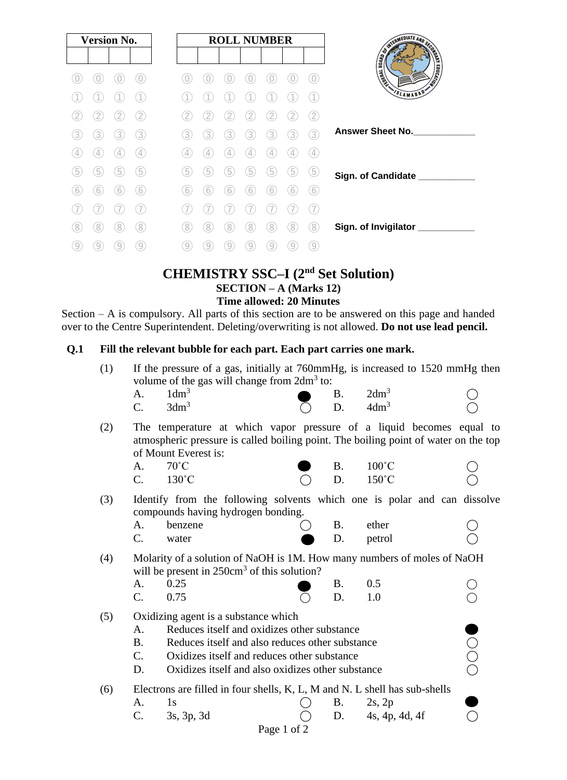| <b>Version No.</b> |                |   | <b>ROLL NUMBER</b> |   |     |   | SWEDMEDIATE AND DECIDENTS |   |    |                  |                               |
|--------------------|----------------|---|--------------------|---|-----|---|---------------------------|---|----|------------------|-------------------------------|
|                    |                |   |                    |   |     |   |                           |   |    | O                | <b>EDUCATION</b><br>I Wallach |
|                    |                |   |                    |   |     |   |                           |   |    |                  | SLAMABAD                      |
|                    | $\overline{2}$ |   | 2                  |   | 2   |   |                           |   |    | 2                |                               |
| 3                  | 3              | 3 | 3                  | 3 | 3   | 3 | 3                         | 3 | 3  | 3                | <b>Answer Sheet No.</b>       |
|                    | 4              | 4 | $\overline{4}$     | 4 |     | 4 | 4                         |   |    | 4                |                               |
| 5                  | $\boxed{5}$    | 5 | 5                  | 5 | 5   | 5 | 5                         | 5 | .5 | 5                | Sign. of Candidate ___        |
| 6                  | 6              | 6 | 6                  | 6 | (6) | 6 | 6                         | 6 | 6  | 6                |                               |
|                    |                |   |                    |   |     |   |                           |   |    |                  |                               |
| 8                  | 8              | 8 | 8                  | 8 | 8   | 8 | 8                         | 8 |    | 8                | Sign. of Invigilator          |
| 9                  | 9              | 9 | $\left[9\right]$   | 9 | 9   | 9 | 9                         | 9 | 9  | $\left[9\right]$ |                               |

# **CHEMISTRY SSC–I (2nd Set Solution) SECTION – A (Marks 12) Time allowed: 20 Minutes**

Section – A is compulsory. All parts of this section are to be answered on this page and handed over to the Centre Superintendent. Deleting/overwriting is not allowed. **Do not use lead pencil.**

#### **Q.1 Fill the relevant bubble for each part. Each part carries one mark.**

| (1) | If the pressure of a gas, initially at 760mmHg, is increased to 1520 mmHg then<br>volume of the gas will change from 2dm <sup>3</sup> to: |                                                                                                                                                                                     |  |           |                  |  |  |  |  |
|-----|-------------------------------------------------------------------------------------------------------------------------------------------|-------------------------------------------------------------------------------------------------------------------------------------------------------------------------------------|--|-----------|------------------|--|--|--|--|
|     | A.                                                                                                                                        | 1dm <sup>3</sup>                                                                                                                                                                    |  | <b>B.</b> | $2dm^3$          |  |  |  |  |
|     | $\mathcal{C}$ .                                                                                                                           | 3dm <sup>3</sup>                                                                                                                                                                    |  | D.        | 4dm <sup>3</sup> |  |  |  |  |
| (2) |                                                                                                                                           | The temperature at which vapor pressure of a liquid becomes equal to<br>atmospheric pressure is called boiling point. The boiling point of water on the top<br>of Mount Everest is: |  |           |                  |  |  |  |  |
|     | A.                                                                                                                                        | $70^{\circ}$ C                                                                                                                                                                      |  | <b>B.</b> | $100^{\circ}$ C  |  |  |  |  |
|     | $C_{\cdot}$                                                                                                                               | $130^{\circ}$ C                                                                                                                                                                     |  | D.        | $150^{\circ}$ C  |  |  |  |  |
| (3) |                                                                                                                                           | Identify from the following solvents which one is polar and can dissolve<br>compounds having hydrogen bonding.                                                                      |  |           |                  |  |  |  |  |
|     | A.                                                                                                                                        | benzene                                                                                                                                                                             |  | <b>B.</b> | ether            |  |  |  |  |
|     | C.                                                                                                                                        | water                                                                                                                                                                               |  | D.        | petrol           |  |  |  |  |
| (4) | Molarity of a solution of NaOH is 1M. How many numbers of moles of NaOH<br>will be present in $250 \text{cm}^3$ of this solution?         |                                                                                                                                                                                     |  |           |                  |  |  |  |  |
|     | A.                                                                                                                                        | 0.25                                                                                                                                                                                |  | <b>B.</b> | 0.5              |  |  |  |  |
|     | $C_{\cdot}$                                                                                                                               | 0.75                                                                                                                                                                                |  | D.        | 1.0              |  |  |  |  |
| (5) | Oxidizing agent is a substance which                                                                                                      |                                                                                                                                                                                     |  |           |                  |  |  |  |  |
|     | A.                                                                                                                                        | Reduces itself and oxidizes other substance                                                                                                                                         |  |           |                  |  |  |  |  |
|     | <b>B.</b>                                                                                                                                 | Reduces itself and also reduces other substance                                                                                                                                     |  |           |                  |  |  |  |  |
|     | C.                                                                                                                                        | Oxidizes itself and reduces other substance                                                                                                                                         |  |           |                  |  |  |  |  |
|     | D.                                                                                                                                        | Oxidizes itself and also oxidizes other substance                                                                                                                                   |  |           |                  |  |  |  |  |
| (6) |                                                                                                                                           | Electrons are filled in four shells, K, L, M and N. L shell has sub-shells                                                                                                          |  |           |                  |  |  |  |  |
|     | $A_{\cdot}$                                                                                                                               | 1s                                                                                                                                                                                  |  | <b>B.</b> | $2s$ , $2p$      |  |  |  |  |
|     | C.                                                                                                                                        | 3s, 3p, 3d                                                                                                                                                                          |  | D.        | 4s, 4p, 4d, 4f   |  |  |  |  |

Page 1 of 2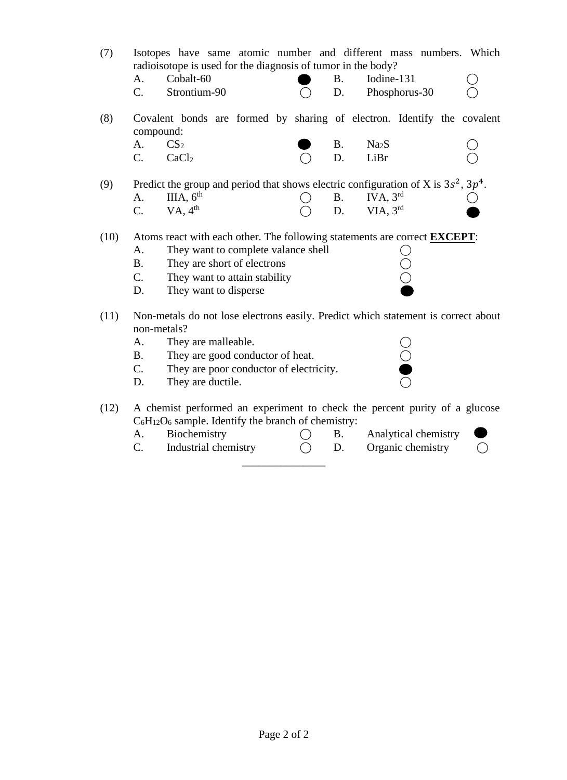- (7) Isotopes have same atomic number and different mass numbers. Which radioisotope is used for the diagnosis of tumor in the body?
	- A. Cobalt-60 B. Iodine-131  $C.$  Strontium-90  $O$  D. Phosphorus-30
- (8) Covalent bonds are formed by sharing of electron. Identify the covalent compound:

| $A. \hspace{1.5cm} CS_2$ |              | $\bullet$ B. Na <sub>2</sub> S |  | $\bigcirc$ |
|--------------------------|--------------|--------------------------------|--|------------|
|                          | $C.$ $CaCl2$ | $\bigcap$ D. LiBr              |  | $\bigcirc$ |

(9) Predict the group and period that shows electric configuration of X is  $3s^2$ ,  $3p^4$ . A. IIIA,  $6^{\text{th}}$  $B.$  IVA,  $3<sup>rd</sup>$ C. VA,  $4^{\text{th}}$ th  $\bigcirc$  D. VIA, 3<sup>rd</sup>

(10) Atoms react with each other. The following statements are correct **EXCEPT**:

- A. They want to complete valance shell  $\bigcirc$ <br>
B. They are short of electrons  $\bigcirc$ <br>
C. They want to attain stability  $\bigcirc$
- B. They are short of electrons
- C. They want to attain stability
- D. They want to disperse
- (11) Non-metals do not lose electrons easily. Predict which statement is correct about non-metals?
	-
	- A. They are malleable.  $\bigcirc$ <br>B. They are good conductor of heat.  $\bigcirc$ B. They are good conductor of heat.
	- C. They are poor conductor of electricity.
	- D. They are ductile.
- (12) A chemist performed an experiment to check the percent purity of a glucose  $C_6H_{12}O_6$  sample. Identify the branch of chemistry:

\_\_\_\_\_\_\_\_\_\_\_\_\_\_\_

- A. Biochemistry  $\bigcirc$  B. Analytical chemistry
- C. Industrial chemistry  $\bigcirc$  D. Organic chemistry  $\bigcirc$

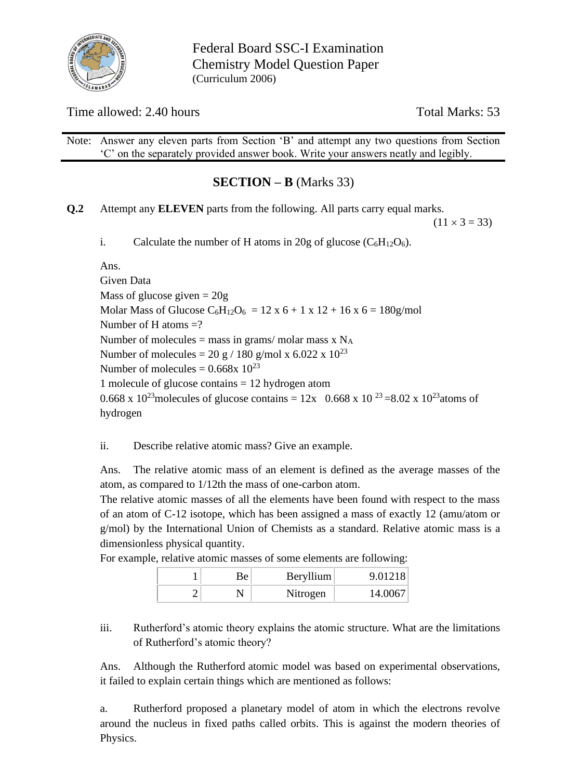

Federal Board SSC-I Examination Chemistry Model Question Paper (Curriculum 2006)

# Time allowed: 2.40 hours Total Marks: 53

Note: Answer any eleven parts from Section 'B' and attempt any two questions from Section 'C' on the separately provided answer book. Write your answers neatly and legibly.

# **SECTION – B** (Marks 33)

**Q.2** Attempt any **ELEVEN** parts from the following. All parts carry equal marks.

 $(11 \times 3 = 33)$ 

i. Calculate the number of H atoms in 20g of glucose  $(C_6H_{12}O_6)$ .

Ans.

Given Data Mass of glucose given  $= 20g$ Molar Mass of Glucose  $C_6H_{12}O_6 = 12 \times 6 + 1 \times 12 + 16 \times 6 = 180$  g/mol Number of H atoms  $=$ ? Number of molecules = mass in grams/ molar mass  $x$  N<sub>A</sub> Number of molecules = 20 g / 180 g/mol x 6.022 x  $10^{23}$ Number of molecules =  $0.668x\ 10^{23}$ 1 molecule of glucose contains = 12 hydrogen atom 0.668 x 10<sup>23</sup> molecules of glucose contains = 12x 0.668 x 10<sup>23</sup> = 8.02 x 10<sup>23</sup> atoms of hydrogen

ii. Describe relative atomic mass? Give an example.

Ans. The relative atomic mass of an element is defined as the average masses of the atom, as compared to 1/12th the mass of one-carbon atom.

The relative atomic masses of all the elements have been found with respect to the mass of an atom of C-12 isotope, which has been assigned a mass of exactly 12 (amu/atom or g/mol) by the International Union of Chemists as a standard. Relative atomic mass is a dimensionless physical quantity.

|  |    |           | ີ           |
|--|----|-----------|-------------|
|  | ₹ρ | Beryllium | 9.01218     |
|  |    | Nitrogen  | $\Lambda$ ( |

For example, relative atomic masses of some elements are following:

iii. Rutherford's atomic theory explains the atomic structure. What are the limitations of Rutherford's atomic theory?

Ans. Although the Rutherford atomic model was based on experimental observations, it failed to explain certain things which are mentioned as follows:

a. Rutherford proposed a planetary model of atom in which the electrons revolve around the nucleus in fixed paths called orbits. This is against the modern theories of Physics.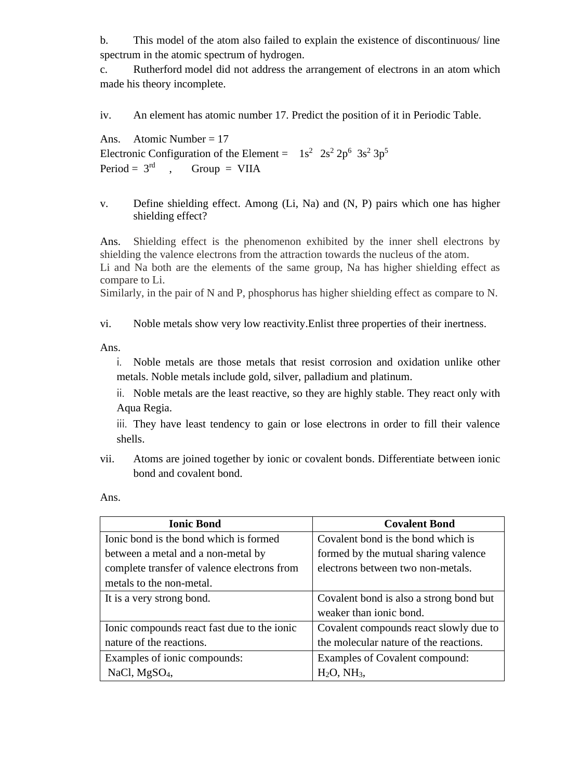b. This model of the atom also failed to explain the existence of discontinuous/ line spectrum in the atomic spectrum of hydrogen.

c. Rutherford model did not address the arrangement of electrons in an atom which made his theory incomplete.

iv. An element has atomic number 17. Predict the position of it in Periodic Table.

Ans. Atomic Number =  $17$ Electronic Configuration of the Element =  $1s^2$   $2s^2$   $2p^6$   $3s^2$   $3p^5$ Period =  $3<sup>rd</sup>$  $Group = VIIA$ 

v. Define shielding effect. Among (Li, Na) and (N, P) pairs which one has higher shielding effect?

Ans. Shielding effect is the phenomenon exhibited by the inner shell electrons by shielding the valence electrons from the attraction towards the nucleus of the atom.

Li and Na both are the elements of the same group, Na has higher shielding effect as compare to Li.

Similarly, in the pair of N and P, phosphorus has higher shielding effect as compare to N.

vi. Noble metals show very low reactivity.Enlist three properties of their inertness.

Ans.

i. Noble metals are those metals that resist corrosion and oxidation unlike other metals. Noble metals include gold, silver, palladium and platinum.

ii. Noble metals are the least reactive, so they are highly stable. They react only with Aqua Regia.

iii. They have least tendency to gain or lose electrons in order to fill their valence shells.

vii. Atoms are joined together by ionic or covalent bonds. Differentiate between ionic bond and covalent bond.

Ans.

| <b>Ionic Bond</b>                           | <b>Covalent Bond</b>                    |
|---------------------------------------------|-----------------------------------------|
| Ionic bond is the bond which is formed      | Covalent bond is the bond which is      |
| between a metal and a non-metal by          | formed by the mutual sharing valence    |
| complete transfer of valence electrons from | electrons between two non-metals.       |
| metals to the non-metal.                    |                                         |
| It is a very strong bond.                   | Covalent bond is also a strong bond but |
|                                             | weaker than ionic bond.                 |
| Ionic compounds react fast due to the ionic | Covalent compounds react slowly due to  |
| nature of the reactions.                    | the molecular nature of the reactions.  |
| Examples of ionic compounds:                | Examples of Covalent compound:          |
| NaCl, $MgSO4$ ,                             | H <sub>2</sub> O, NH <sub>3</sub>       |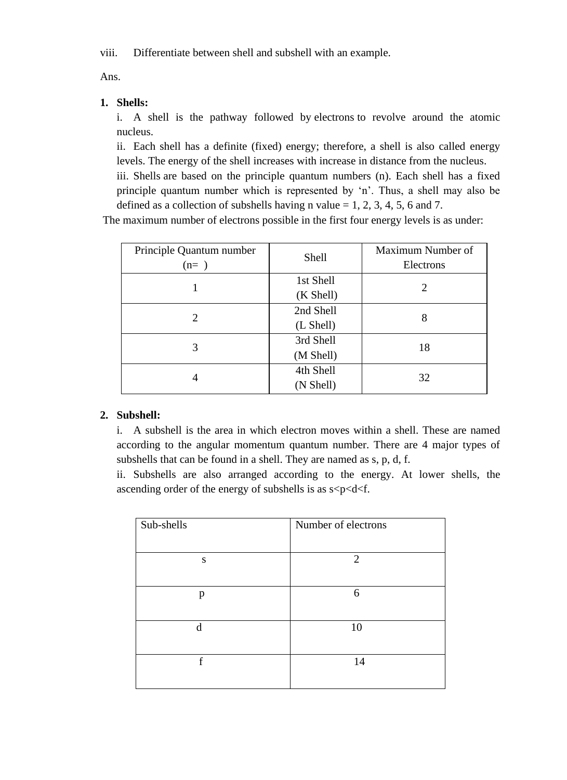viii. Differentiate between shell and subshell with an example.

Ans.

# **1. Shells:**

i. A shell is the pathway followed by electrons to revolve around the atomic nucleus.

ii. Each shell has a definite (fixed) energy; therefore, a shell is also called energy levels. The energy of the shell increases with increase in distance from the nucleus.

iii. Shells are based on the principle quantum numbers (n). Each shell has a fixed principle quantum number which is represented by 'n'. Thus, a shell may also be defined as a collection of subshells having n value  $= 1, 2, 3, 4, 5, 6$  and 7.

The maximum number of electrons possible in the first four energy levels is as under:

| Principle Quantum number<br>$(n=)$ | Shell     | Maximum Number of<br>Electrons |
|------------------------------------|-----------|--------------------------------|
|                                    | 1st Shell | 2                              |
|                                    | (K Shell) |                                |
| 2                                  | 2nd Shell | 8                              |
|                                    | (L Shell) |                                |
| 3                                  | 3rd Shell | 18                             |
|                                    | (M Shell) |                                |
|                                    | 4th Shell | 32                             |
|                                    | (N Shell) |                                |

# **2. Subshell:**

i. A subshell is the area in which electron moves within a shell. These are named according to the angular momentum quantum number. There are 4 major types of subshells that can be found in a shell. They are named as s, p, d, f.

ii. Subshells are also arranged according to the energy. At lower shells, the ascending order of the energy of subshells is as  $s$ <p<d<f.

| Sub-shells | Number of electrons         |
|------------|-----------------------------|
|            |                             |
| S          | $\mathcal{D}_{\mathcal{L}}$ |
|            |                             |
| p          | 6                           |
|            |                             |
| d          | 10                          |
|            |                             |
| f          | 14                          |
|            |                             |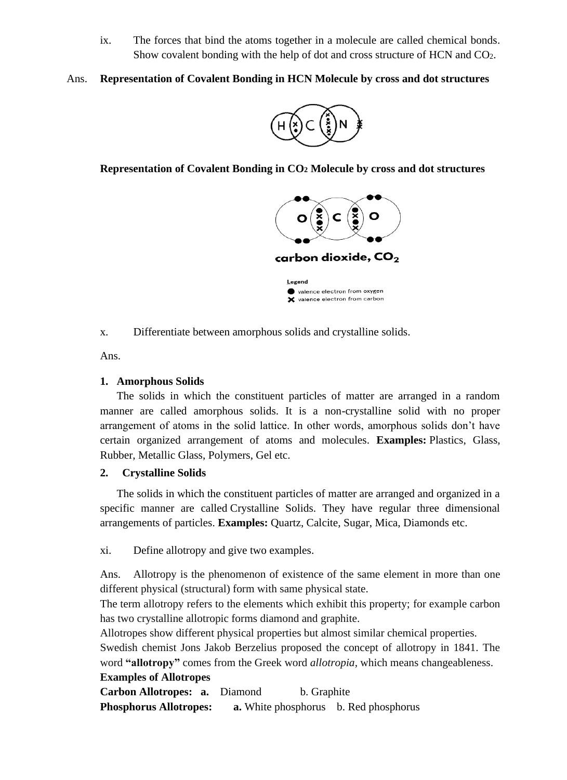ix. The forces that bind the atoms together in a molecule are called chemical bonds. Show covalent bonding with the help of dot and cross structure of HCN and CO2.

## Ans. **Representation of Covalent Bonding in HCN Molecule by cross and dot structures**



**Representation of Covalent Bonding in CO<sup>2</sup> Molecule by cross and dot structures**



x. Differentiate between amorphous solids and crystalline solids.

Ans.

## **1. Amorphous Solids**

The solids in which the constituent particles of matter are arranged in a random manner are called amorphous solids. It is a non-crystalline solid with no proper arrangement of atoms in the solid lattice. In other words, amorphous solids don't have certain organized arrangement of atoms and molecules. **Examples:** Plastics, Glass, Rubber, Metallic Glass, Polymers, Gel etc.

## **2. Crystalline Solids**

The solids in which the constituent particles of matter are arranged and organized in a specific manner are called Crystalline Solids. They have regular three dimensional arrangements of particles. **Examples:** Quartz, Calcite, Sugar, Mica, Diamonds etc.

xi. Define allotropy and give two examples.

Ans. Allotropy is the phenomenon of existence of the same element in more than one different physical (structural) form with same physical state.

The term allotropy refers to the elements which exhibit this property; for example carbon has two crystalline allotropic forms diamond and graphite.

Allotropes show different physical properties but almost similar chemical properties.

Swedish chemist Jons Jakob Berzelius proposed the concept of allotropy in 1841. The word **"allotropy"** comes from the Greek word *allotropia*, which means changeableness.

## **Examples of Allotropes**

**Carbon Allotropes: a.** Diamond b. Graphite **Phosphorus Allotropes: a.** White phosphorus b. Red phosphorus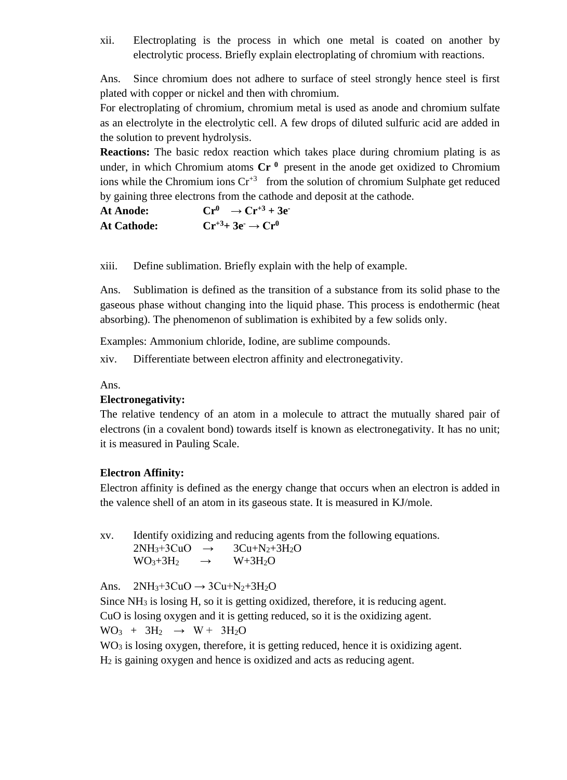xii. Electroplating is the process in which one metal is coated on another by electrolytic process. Briefly explain electroplating of chromium with reactions.

Ans. Since chromium does not adhere to surface of steel strongly hence steel is first plated with copper or nickel and then with chromium.

For electroplating of chromium, chromium metal is used as anode and chromium sulfate as an electrolyte in the electrolytic cell. A few drops of diluted sulfuric acid are added in the solution to prevent hydrolysis.

**Reactions:** The basic redox reaction which takes place during chromium plating is as under, in which Chromium atoms  $Cr<sup>0</sup>$  present in the anode get oxidized to Chromium ions while the Chromium ions  $Cr^{3}$  from the solution of chromium Sulphate get reduced by gaining three electrons from the cathode and deposit at the cathode.

| <b>At Anode:</b>   | $Cr^0 \rightarrow Cr^{+3} + 3e^-$ |
|--------------------|-----------------------------------|
| <b>At Cathode:</b> | $Cr^{+3}+3e^- \rightarrow Cr^0$   |

xiii. Define sublimation. Briefly explain with the help of example.

Ans. Sublimation is defined as the transition of a substance from its solid phase to the gaseous phase without changing into the liquid phase. This process is endothermic (heat absorbing). The phenomenon of sublimation is exhibited by a few solids only.

Examples: Ammonium chloride, Iodine, are sublime compounds.

xiv. Differentiate between electron affinity and electronegativity.

Ans.

#### **Electronegativity:**

The relative tendency of an atom in a molecule to attract the mutually shared pair of electrons (in a covalent bond) towards itself is known as electronegativity. It has no unit; it is measured in Pauling Scale.

#### **Electron Affinity:**

Electron affinity is defined as the energy change that occurs when an electron is added in the valence shell of an atom in its gaseous state. It is measured in KJ/mole.

xv. Identify oxidizing and reducing agents from the following equations.  $2NH_3+3CuO \rightarrow 3Cu+N_2+3H_2O$  $WO_3 + 3H_2 \rightarrow W + 3H_2O$ 

Ans.  $2NH_3+3CuO \rightarrow 3Cu+N_2+3H_2O$ 

Since NH<sup>3</sup> is losing H, so it is getting oxidized, therefore, it is reducing agent. CuO is losing oxygen and it is getting reduced, so it is the oxidizing agent.  $WO_3 + 3H_2 \rightarrow W + 3H_2O$ 

WO<sub>3</sub> is losing oxygen, therefore, it is getting reduced, hence it is oxidizing agent.  $H<sub>2</sub>$  is gaining oxygen and hence is oxidized and acts as reducing agent.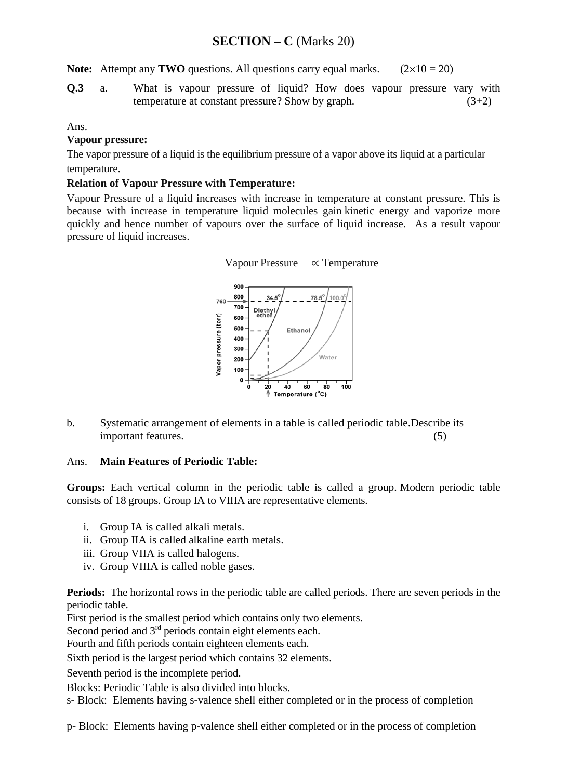# **SECTION – C** (Marks 20)

**Note:** Attempt any **TWO** questions. All questions carry equal marks.  $(2 \times 10 = 20)$ 

**Q.3** a. What is vapour pressure of liquid? How does vapour pressure vary with temperature at constant pressure? Show by graph.  $(3+2)$ 

#### Ans.

## **Vapour pressure:**

The vapor pressure of a liquid is the equilibrium pressure of a vapor above its liquid at a particular temperature.

#### **Relation of Vapour Pressure with Temperature:**

Vapour Pressure of a liquid increases with increase in temperature at constant pressure. This is because with increase in temperature liquid molecules gain kinetic energy and vaporize more quickly and hence number of vapours over the surface of liquid increase. As a result vapour pressure of liquid increases.



b. Systematic arrangement of elements in a table is called periodic table.Describe its important features. (5)

## Ans. **Main Features of Periodic Table:**

**Groups:** Each vertical column in the periodic table is called a group. Modern periodic table consists of 18 groups. Group IA to VIIIA are representative elements.

- i. Group IA is called alkali metals.
- ii. Group IIA is called alkaline earth metals.
- iii. Group VIIA is called halogens.
- iv. Group VIIIA is called noble gases.

**Periods:** The horizontal rows in the periodic table are called periods. There are seven periods in the periodic table.

First period is the smallest period which contains only two elements.

Second period and 3<sup>rd</sup> periods contain eight elements each.

Fourth and fifth periods contain eighteen elements each.

Sixth period is the largest period which contains 32 elements.

Seventh period is the incomplete period.

Blocks: Periodic Table is also divided into blocks.

s- Block: Elements having s-valence shell either completed or in the process of completion

p- Block: Elements having p-valence shell either completed or in the process of completion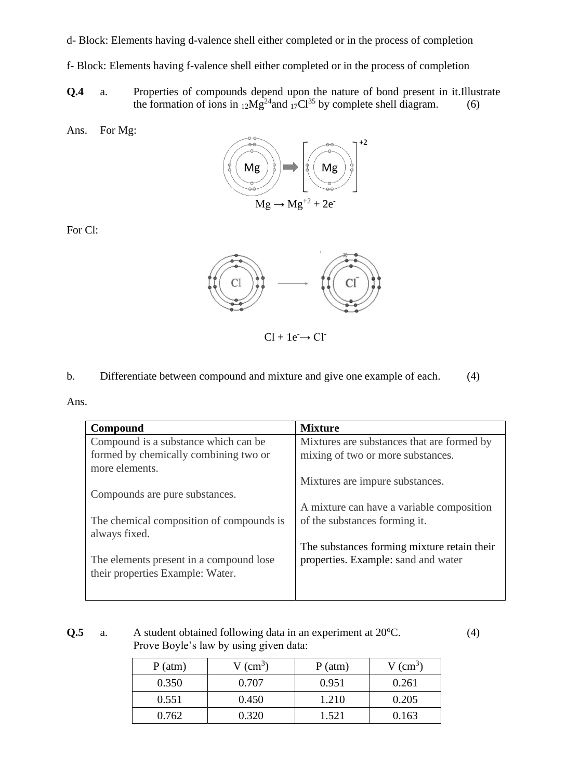d- Block: Elements having d-valence shell either completed or in the process of completion

- f- Block: Elements having f-valence shell either completed or in the process of completion
- **Q.4** a. Properties of compounds depend upon the nature of bond present in it.Illustrate the formation of ions in  $_{12}Mg^{24}$  and  $_{17}Cl^{35}$  by complete shell diagram. (6)
- Ans. For Mg:



For Cl:



 $Cl + Ie^- \rightarrow Cl^-$ 

b. Differentiate between compound and mixture and give one example of each. (4)

| <b>Mixture</b>                              |
|---------------------------------------------|
| Mixtures are substances that are formed by  |
| mixing of two or more substances.           |
|                                             |
| Mixtures are impure substances.             |
|                                             |
| A mixture can have a variable composition   |
| of the substances forming it.               |
|                                             |
| The substances forming mixture retain their |
| properties. Example: sand and water         |
|                                             |
|                                             |
|                                             |

**Q.5** a. A student obtained following data in an experiment at 20<sup>o</sup>C. (4) Prove Boyle's law by using given data:

| $P(\text{atm})$ | $V$ (cm <sup>3</sup> ) | P(atm) | $V$ (cm <sup>3</sup> ) |
|-----------------|------------------------|--------|------------------------|
| 0.350           | 0.707                  | 0.951  | 0.261                  |
| 0.551           | 0.450                  | 1.210  | 0.205                  |
| 0.762           | 0.320                  | 1.521  | 0.163                  |